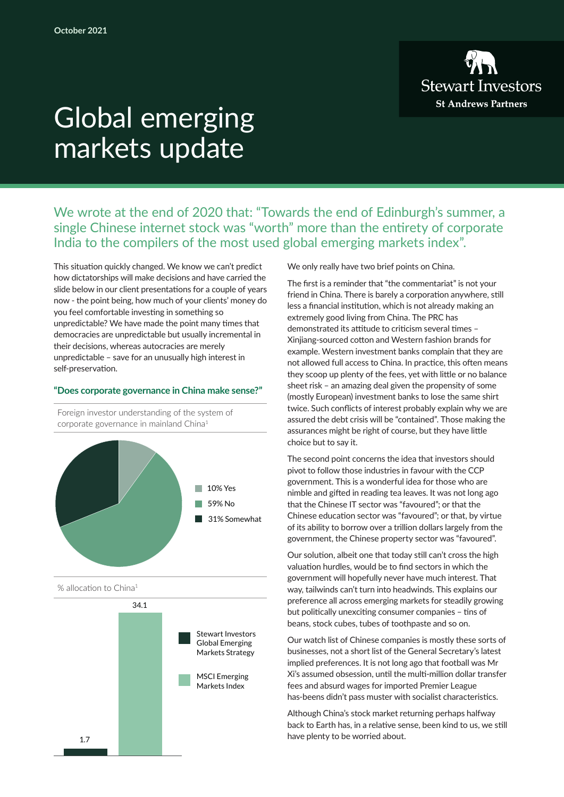

# Global emerging markets update

We wrote at the end of 2020 that: "Towards the end of Edinburgh's summer, a single Chinese internet stock was "worth" more than the entirety of corporate India to the compilers of the most used global emerging markets index".

This situation quickly changed. We know we can't predict how dictatorships will make decisions and have carried the slide below in our client presentations for a couple of years now - the point being, how much of your clients' money do you feel comfortable investing in something so unpredictable? We have made the point many times that democracies are unpredictable but usually incremental in their decisions, whereas autocracies are merely unpredictable – save for an unusually high interest in self-preservation.

## **"Does corporate governance in China make sense?"**

Foreign investor understanding of the system of corporate governance in mainland China1



% allocation to China<sup>1</sup>



We only really have two brief points on China.

The first is a reminder that "the commentariat" is not your friend in China. There is barely a corporation anywhere, still less a financial institution, which is not already making an extremely good living from China. The PRC has demonstrated its attitude to criticism several times – Xinjiang-sourced cotton and Western fashion brands for example. Western investment banks complain that they are not allowed full access to China. In practice, this often means they scoop up plenty of the fees, yet with little or no balance sheet risk – an amazing deal given the propensity of some (mostly European) investment banks to lose the same shirt twice. Such conflicts of interest probably explain why we are assured the debt crisis will be "contained". Those making the assurances might be right of course, but they have little choice but to say it.

The second point concerns the idea that investors should pivot to follow those industries in favour with the CCP government. This is a wonderful idea for those who are nimble and gifted in reading tea leaves. It was not long ago that the Chinese IT sector was "favoured"; or that the Chinese education sector was "favoured"; or that, by virtue of its ability to borrow over a trillion dollars largely from the government, the Chinese property sector was "favoured".

Our solution, albeit one that today still can't cross the high valuation hurdles, would be to find sectors in which the government will hopefully never have much interest. That way, tailwinds can't turn into headwinds. This explains our preference all across emerging markets for steadily growing but politically unexciting consumer companies – tins of beans, stock cubes, tubes of toothpaste and so on.

Our watch list of Chinese companies is mostly these sorts of businesses, not a short list of the General Secretary's latest implied preferences. It is not long ago that football was Mr Xi's assumed obsession, until the multi-million dollar transfer fees and absurd wages for imported Premier League has-beens didn't pass muster with socialist characteristics.

Although China's stock market returning perhaps halfway back to Earth has, in a relative sense, been kind to us, we still have plenty to be worried about.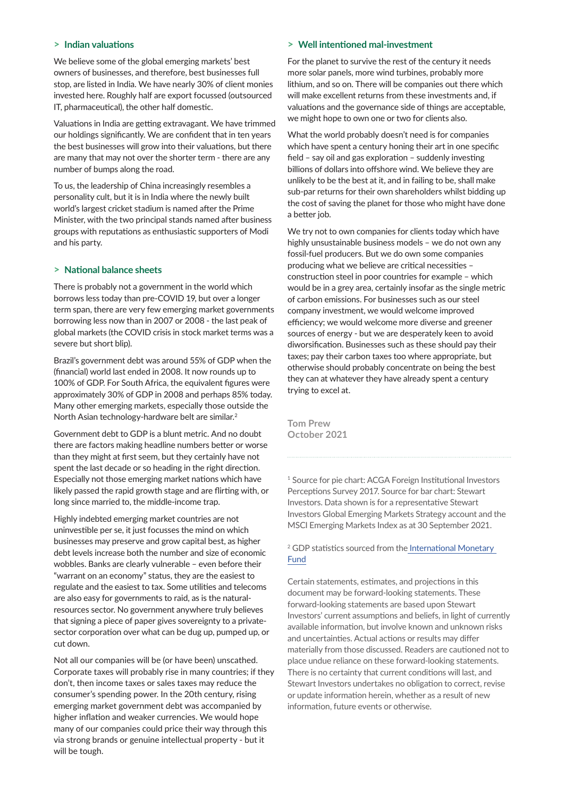## **> Indian valuations**

We believe some of the global emerging markets' best owners of businesses, and therefore, best businesses full stop, are listed in India. We have nearly 30% of client monies invested here. Roughly half are export focussed (outsourced IT, pharmaceutical), the other half domestic.

Valuations in India are getting extravagant. We have trimmed our holdings significantly. We are confident that in ten years the best businesses will grow into their valuations, but there are many that may not over the shorter term - there are any number of bumps along the road.

To us, the leadership of China increasingly resembles a personality cult, but it is in India where the newly built world's largest cricket stadium is named after the Prime Minister, with the two principal stands named after business groups with reputations as enthusiastic supporters of Modi and his party.

## **> National balance sheets**

There is probably not a government in the world which borrows less today than pre-COVID 19, but over a longer term span, there are very few emerging market governments borrowing less now than in 2007 or 2008 - the last peak of global markets (the COVID crisis in stock market terms was a severe but short blip).

Brazil's government debt was around 55% of GDP when the (financial) world last ended in 2008. It now rounds up to 100% of GDP. For South Africa, the equivalent figures were approximately 30% of GDP in 2008 and perhaps 85% today. Many other emerging markets, especially those outside the North Asian technology-hardware belt are similar.<sup>2</sup>

Government debt to GDP is a blunt metric. And no doubt there are factors making headline numbers better or worse than they might at first seem, but they certainly have not spent the last decade or so heading in the right direction. Especially not those emerging market nations which have likely passed the rapid growth stage and are flirting with, or long since married to, the middle-income trap.

Highly indebted emerging market countries are not uninvestible per se, it just focusses the mind on which businesses may preserve and grow capital best, as higher debt levels increase both the number and size of economic wobbles. Banks are clearly vulnerable – even before their "warrant on an economy" status, they are the easiest to regulate and the easiest to tax. Some utilities and telecoms are also easy for governments to raid, as is the naturalresources sector. No government anywhere truly believes that signing a piece of paper gives sovereignty to a privatesector corporation over what can be dug up, pumped up, or cut down.

Not all our companies will be (or have been) unscathed. Corporate taxes will probably rise in many countries; if they don't, then income taxes or sales taxes may reduce the consumer's spending power. In the 20th century, rising emerging market government debt was accompanied by higher inflation and weaker currencies. We would hope many of our companies could price their way through this via strong brands or genuine intellectual property - but it will be tough.

## **> Well intentioned mal-investment**

For the planet to survive the rest of the century it needs more solar panels, more wind turbines, probably more lithium, and so on. There will be companies out there which will make excellent returns from these investments and, if valuations and the governance side of things are acceptable, we might hope to own one or two for clients also.

What the world probably doesn't need is for companies which have spent a century honing their art in one specific field – say oil and gas exploration – suddenly investing billions of dollars into offshore wind. We believe they are unlikely to be the best at it, and in failing to be, shall make sub-par returns for their own shareholders whilst bidding up the cost of saving the planet for those who might have done a better job.

We try not to own companies for clients today which have highly unsustainable business models – we do not own any fossil-fuel producers. But we do own some companies producing what we believe are critical necessities – construction steel in poor countries for example – which would be in a grey area, certainly insofar as the single metric of carbon emissions. For businesses such as our steel company investment, we would welcome improved efficiency; we would welcome more diverse and greener sources of energy - but we are desperately keen to avoid diworsification. Businesses such as these should pay their taxes; pay their carbon taxes too where appropriate, but otherwise should probably concentrate on being the best they can at whatever they have already spent a century trying to excel at.

**Tom Prew October 2021**

1 Source for pie chart: ACGA Foreign Institutional Investors Perceptions Survey 2017. Source for bar chart: Stewart Investors. Data shown is for a representative Stewart Investors Global Emerging Markets Strategy account and the MSCI Emerging Markets Index as at 30 September 2021.

## 2 GDP statistics sourced from th[e International Monetary](https://www.imf.org/)  [Fund](https://www.imf.org/)

Certain statements, estimates, and projections in this document may be forward-looking statements. These forward-looking statements are based upon Stewart Investors' current assumptions and beliefs, in light of currently available information, but involve known and unknown risks and uncertainties. Actual actions or results may differ materially from those discussed. Readers are cautioned not to place undue reliance on these forward-looking statements. There is no certainty that current conditions will last, and Stewart Investors undertakes no obligation to correct, revise or update information herein, whether as a result of new information, future events or otherwise.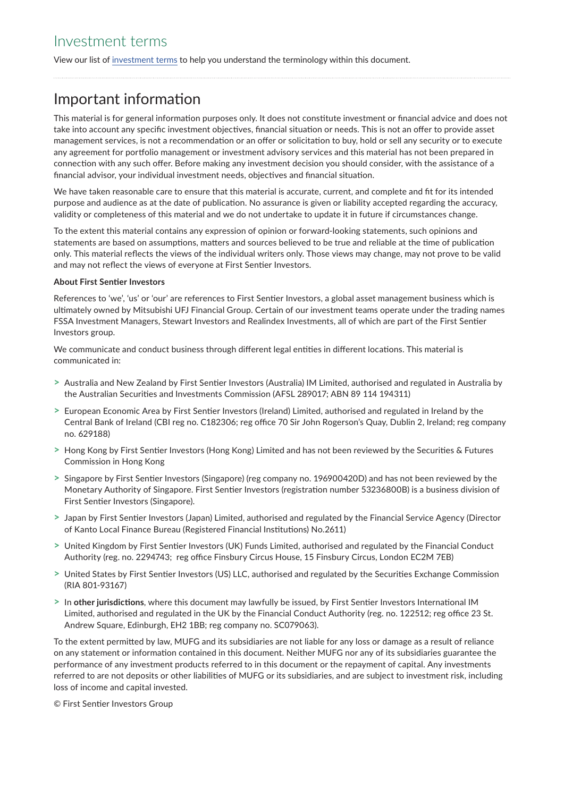View our list of [investment terms](https://www.stewartinvestors.com/all/insights/investment-terms.html) to help you understand the terminology within this document.

## Important information

This material is for general information purposes only. It does not constitute investment or financial advice and does not take into account any specific investment objectives, financial situation or needs. This is not an offer to provide asset management services, is not a recommendation or an offer or solicitation to buy, hold or sell any security or to execute any agreement for portfolio management or investment advisory services and this material has not been prepared in connection with any such offer. Before making any investment decision you should consider, with the assistance of a financial advisor, your individual investment needs, objectives and financial situation.

We have taken reasonable care to ensure that this material is accurate, current, and complete and fit for its intended purpose and audience as at the date of publication. No assurance is given or liability accepted regarding the accuracy, validity or completeness of this material and we do not undertake to update it in future if circumstances change.

To the extent this material contains any expression of opinion or forward-looking statements, such opinions and statements are based on assumptions, matters and sources believed to be true and reliable at the time of publication only. This material reflects the views of the individual writers only. Those views may change, may not prove to be valid and may not reflect the views of everyone at First Sentier Investors.

## **About First Sentier Investors**

References to 'we', 'us' or 'our' are references to First Sentier Investors, a global asset management business which is ultimately owned by Mitsubishi UFJ Financial Group. Certain of our investment teams operate under the trading names FSSA Investment Managers, Stewart Investors and Realindex Investments, all of which are part of the First Sentier Investors group.

We communicate and conduct business through different legal entities in different locations. This material is communicated in:

- **>** Australia and New Zealand by First Sentier Investors (Australia) IM Limited, authorised and regulated in Australia by the Australian Securities and Investments Commission (AFSL 289017; ABN 89 114 194311)
- **>** European Economic Area by First Sentier Investors (Ireland) Limited, authorised and regulated in Ireland by the Central Bank of Ireland (CBI reg no. C182306; reg office 70 Sir John Rogerson's Quay, Dublin 2, Ireland; reg company no. 629188)
- **>** Hong Kong by First Sentier Investors (Hong Kong) Limited and has not been reviewed by the Securities & Futures Commission in Hong Kong
- **>** Singapore by First Sentier Investors (Singapore) (reg company no. 196900420D) and has not been reviewed by the Monetary Authority of Singapore. First Sentier Investors (registration number 53236800B) is a business division of First Sentier Investors (Singapore).
- **>** Japan by First Sentier Investors (Japan) Limited, authorised and regulated by the Financial Service Agency (Director of Kanto Local Finance Bureau (Registered Financial Institutions) No.2611)
- **>** United Kingdom by First Sentier Investors (UK) Funds Limited, authorised and regulated by the Financial Conduct Authority (reg. no. 2294743; reg office Finsbury Circus House, 15 Finsbury Circus, London EC2M 7EB)
- **>** United States by First Sentier Investors (US) LLC, authorised and regulated by the Securities Exchange Commission (RIA 801-93167)
- **>** In **other jurisdictions**, where this document may lawfully be issued, by First Sentier Investors International IM Limited, authorised and regulated in the UK by the Financial Conduct Authority (reg. no. 122512; reg office 23 St. Andrew Square, Edinburgh, EH2 1BB; reg company no. SC079063).

To the extent permitted by law, MUFG and its subsidiaries are not liable for any loss or damage as a result of reliance on any statement or information contained in this document. Neither MUFG nor any of its subsidiaries guarantee the performance of any investment products referred to in this document or the repayment of capital. Any investments referred to are not deposits or other liabilities of MUFG or its subsidiaries, and are subject to investment risk, including loss of income and capital invested.

© First Sentier Investors Group